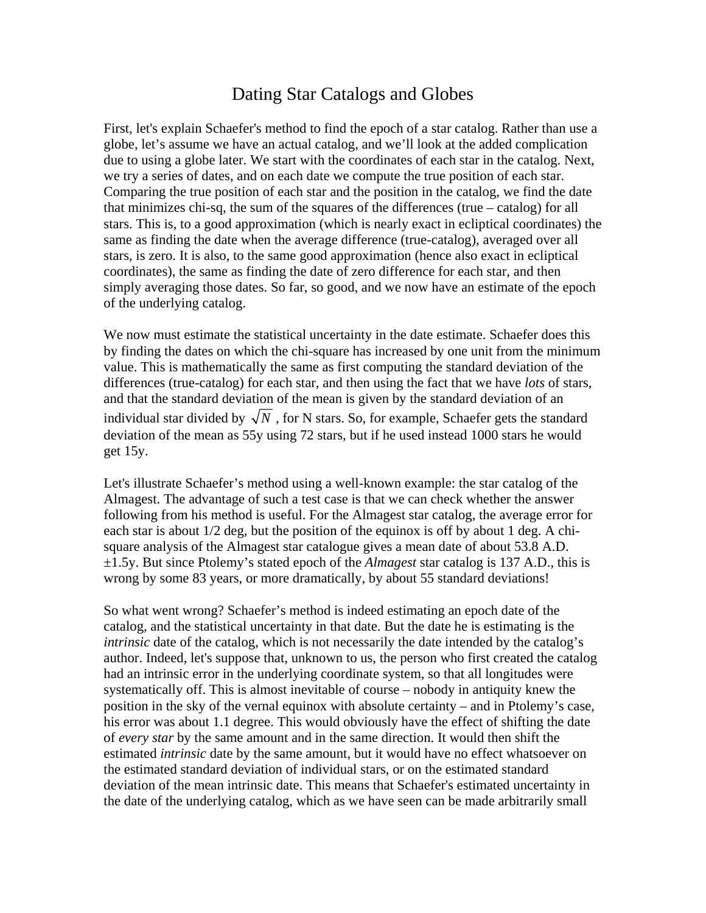## Dating Star Catalogs and Globes

First, let's explain Schaefer's method to find the epoch of a star catalog. Rather than use a globe, let's assume we have an actual catalog, and we'll look at the added complication due to using a globe later. We start with the coordinates of each star in the catalog. Next, we try a series of dates, and on each date we compute the true position of each star. Comparing the true position of each star and the position in the catalog, we find the date that minimizes chi-sq, the sum of the squares of the differences (true – catalog) for all stars. This is, to a good approximation (which is nearly exact in ecliptical coordinates) the same as finding the date when the average difference (true-catalog), averaged over all stars, is zero. It is also, to the same good approximation (hence also exact in ecliptical coordinates), the same as finding the date of zero difference for each star, and then simply averaging those dates. So far, so good, and we now have an estimate of the epoch of the underlying catalog.

We now must estimate the statistical uncertainty in the date estimate. Schaefer does this by finding the dates on which the chi-square has increased by one unit from the minimum value. This is mathematically the same as first computing the standard deviation of the differences (true-catalog) for each star, and then using the fact that we have *lots* of stars, and that the standard deviation of the mean is given by the standard deviation of an individual star divided by  $\sqrt{N}$ , for N stars. So, for example, Schaefer gets the standard deviation of the mean as 55y using 72 stars, but if he used instead 1000 stars he would get 15y.

Let's illustrate Schaefer's method using a well-known example: the star catalog of the Almagest. The advantage of such a test case is that we can check whether the answer following from his method is useful. For the Almagest star catalog, the average error for each star is about 1/2 deg, but the position of the equinox is off by about 1 deg. A chisquare analysis of the Almagest star catalogue gives a mean date of about 53.8 A.D. ±1.5y. But since Ptolemy's stated epoch of the *Almagest* star catalog is 137 A.D., this is wrong by some 83 years, or more dramatically, by about 55 standard deviations!

So what went wrong? Schaefer's method is indeed estimating an epoch date of the catalog, and the statistical uncertainty in that date. But the date he is estimating is the *intrinsic* date of the catalog, which is not necessarily the date intended by the catalog's author. Indeed, let's suppose that, unknown to us, the person who first created the catalog had an intrinsic error in the underlying coordinate system, so that all longitudes were systematically off. This is almost inevitable of course – nobody in antiquity knew the position in the sky of the vernal equinox with absolute certainty – and in Ptolemy's case, his error was about 1.1 degree. This would obviously have the effect of shifting the date of *every star* by the same amount and in the same direction. It would then shift the estimated *intrinsic* date by the same amount, but it would have no effect whatsoever on the estimated standard deviation of individual stars, or on the estimated standard deviation of the mean intrinsic date. This means that Schaefer's estimated uncertainty in the date of the underlying catalog, which as we have seen can be made arbitrarily small